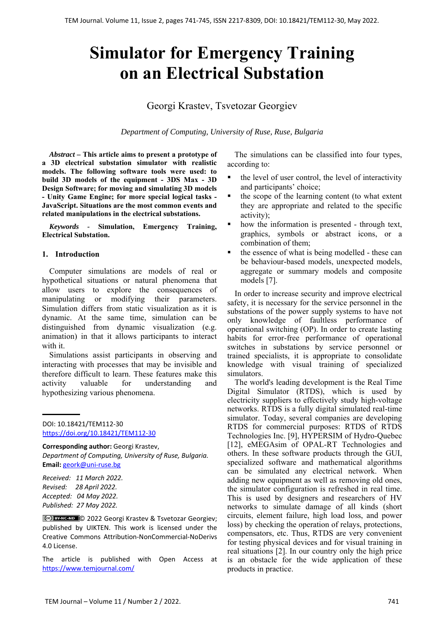# **Simulator for Emergency Training on an Electrical Substation**

## Georgi Krastev, Tsvetozar Georgiev

*Department of Computing, University of Ruse, Ruse, Bulgaria*

*Abstract –* **This article aims to present a prototype of a 3D electrical substation simulator with realistic models. The following software tools were used: to build 3D models of the equipment - 3DS Max - 3D Design Software; for moving and simulating 3D models - Unity Game Engine; for more special logical tasks - JavaScript. Situations are the most common events and related manipulations in the electrical substations.**

*Keywords -* **Simulation, Emergency Training, Electrical Substation.** 

#### **1. Introduction**

Computer simulations are models of real or hypothetical situations or natural phenomena that allow users to explore the consequences of manipulating or modifying their parameters. Simulation differs from static visualization as it is dynamic. At the same time, simulation can be distinguished from dynamic visualization (e.g. animation) in that it allows participants to interact with it.

Simulations assist participants in observing and interacting with processes that may be invisible and therefore difficult to learn. These features make this activity valuable for understanding and hypothesizing various phenomena.

DOI: 10.18421/TEM112-30 [https://doi.org/10.18421/TEM112](https://doi.org/10.18421/TEM112-30)-30

**Corresponding author:** Georgi Krastev, *Department of Computing, University of Ruse, Bulgaria.*  **Email:** geork@uni‐ruse.bg

*Received: 11 March 2022. Revised: 28 April 2022. Accepted: 04 May 2022. Published: 27 May 2022.* 

© 2022 Georgi Krastev & Tsvetozar Georgiev; published by UIKTEN. This work is licensed under the Creative Commons Attribution‐NonCommercial‐NoDerivs 4.0 License.

The article is published with Open Access at https://www.temjournal.com/

The simulations can be classified into four types, according to:

- the level of user control, the level of interactivity and participants' choice;
- the scope of the learning content (to what extent they are appropriate and related to the specific activity);
- how the information is presented through text, graphics, symbols or abstract icons, or a combination of them;
- the essence of what is being modelled these can be behaviour-based models, unexpected models, aggregate or summary models and composite models [7].

In order to increase security and improve electrical safety, it is necessary for the service personnel in the substations of the power supply systems to have not only knowledge of faultless performance of operational switching (OP). In order to create lasting habits for error-free performance of operational switches in substations by service personnel or trained specialists, it is appropriate to consolidate knowledge with visual training of specialized simulators.

The world's leading development is the Real Time Digital Simulator (RTDS), which is used by electricity suppliers to effectively study high-voltage networks. RTDS is a fully digital simulated real-time simulator. Today, several companies are developing RTDS for commercial purposes: RTDS of RTDS Technologies Inc. [9], HYPERSIM of Hydro-Quebec [12], eMEGAsim of OPAL-RT Technologies and others. In these software products through the GUI, specialized software and mathematical algorithms can be simulated any electrical network. When adding new equipment as well as removing old ones, the simulator configuration is refreshed in real time. This is used by designers and researchers of HV networks to simulate damage of all kinds (short circuits, element failure, high load loss, and power loss) by checking the operation of relays, protections, compensators, etc. Thus, RTDS are very convenient for testing physical devices and for visual training in real situations [2]. In our country only the high price is an obstacle for the wide application of these products in practice.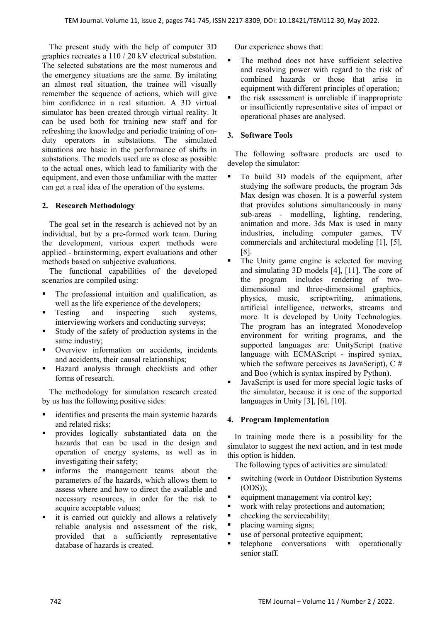The present study with the help of computer 3D graphics recreates a 110 / 20 kV electrical substation. The selected substations are the most numerous and the emergency situations are the same. By imitating an almost real situation, the trainee will visually remember the sequence of actions, which will give him confidence in a real situation. A 3D virtual simulator has been created through virtual reality. It can be used both for training new staff and for refreshing the knowledge and periodic training of onduty operators in substations. The simulated situations are basic in the performance of shifts in substations. The models used are as close as possible to the actual ones, which lead to familiarity with the equipment, and even those unfamiliar with the matter can get a real idea of the operation of the systems.

## **2. Research Methodology**

The goal set in the research is achieved not by an individual, but by a pre-formed work team. During the development, various expert methods were applied - brainstorming, expert evaluations and other methods based on subjective evaluations.

The functional capabilities of the developed scenarios are compiled using:

- The professional intuition and qualification, as well as the life experience of the developers;
- Testing and inspecting such systems, interviewing workers and conducting surveys;
- Study of the safety of production systems in the same industry;
- **•** Overview information on accidents, incidents and accidents, their causal relationships;
- Hazard analysis through checklists and other forms of research.

The methodology for simulation research created by us has the following positive sides:

- identifies and presents the main systemic hazards and related risks;
- **Perovides** logically substantiated data on the hazards that can be used in the design and operation of energy systems, as well as in investigating their safety;
- informs the management teams about the parameters of the hazards, which allows them to assess where and how to direct the available and necessary resources, in order for the risk to acquire acceptable values;
- it is carried out quickly and allows a relatively reliable analysis and assessment of the risk, provided that a sufficiently representative database of hazards is created.

Our experience shows that:

- The method does not have sufficient selective and resolving power with regard to the risk of combined hazards or those that arise in equipment with different principles of operation;
- the risk assessment is unreliable if inappropriate or insufficiently representative sites of impact or operational phases are analysed.

## **3. Software Tools**

The following software products are used to develop the simulator:

- To build 3D models of the equipment, after studying the software products, the program 3ds Max design was chosen. It is a powerful system that provides solutions simultaneously in many sub-areas - modelling, lighting, rendering, animation and more. 3ds Max is used in many industries, including computer games, TV commercials and architectural modeling [1], [5], [8].
- The Unity game engine is selected for moving and simulating 3D models [4], [11]. The core of the program includes rendering of twodimensional and three-dimensional graphics, physics, music, scriptwriting, animations, artificial intelligence, networks, streams and more. It is developed by Unity Technologies. The program has an integrated Monodevelop environment for writing programs, and the supported languages are: UnityScript (native language with ECMAScript - inspired syntax, which the software perceives as JavaScript),  $C \#$ and Boo (which is syntax inspired by Python).
- JavaScript is used for more special logic tasks of the simulator, because it is one of the supported languages in Unity [3], [6], [10].

## **4. Program Implementation**

In training mode there is a possibility for the simulator to suggest the next action, and in test mode this option is hidden.

The following types of activities are simulated:

- switching (work in Outdoor Distribution Systems (ODS));
- equipment management via control key;
- work with relay protections and automation;
- checking the serviceability;
- placing warning signs;
- use of personal protective equipment;
- telephone conversations with operationally senior staff.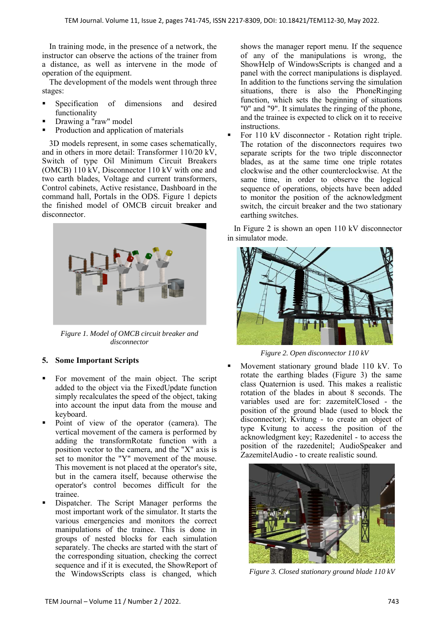In training mode, in the presence of a network, the instructor can observe the actions of the trainer from a distance, as well as intervene in the mode of operation of the equipment.

The development of the models went through three stages:

- Specification of dimensions and desired functionality
- Drawing a "raw" model
- Production and application of materials

3D models represent, in some cases schematically, and in others in more detail: Transformer 110/20 kV, Switch of type Oil Minimum Circuit Breakers (OMCB) 110 kV, Disconnector 110 kV with one and two earth blades, Voltage and current transformers, Control cabinets, Active resistance, Dashboard in the command hall, Portals in the ODS. Figure 1 depicts the finished model of OMCB circuit breaker and disconnector.



*Figure 1. Model of OMCB circuit breaker and disconnector* 

## **5. Some Important Scripts**

- For movement of the main object. The script added to the object via the FixedUpdate function simply recalculates the speed of the object, taking into account the input data from the mouse and keyboard.
- Point of view of the operator (camera). The vertical movement of the camera is performed by adding the transformRotate function with a position vector to the camera, and the "X" axis is set to monitor the "Y" movement of the mouse. This movement is not placed at the operator's site, but in the camera itself, because otherwise the operator's control becomes difficult for the trainee.
- Dispatcher. The Script Manager performs the most important work of the simulator. It starts the various emergencies and monitors the correct manipulations of the trainee. This is done in groups of nested blocks for each simulation separately. The checks are started with the start of the corresponding situation, checking the correct sequence and if it is executed, the ShowReport of the WindowsScripts class is changed, which

shows the manager report menu. If the sequence of any of the manipulations is wrong, the ShowHelp of WindowsScripts is changed and a panel with the correct manipulations is displayed. In addition to the functions serving the simulation situations, there is also the PhoneRinging function, which sets the beginning of situations "0" and "9". It simulates the ringing of the phone, and the trainee is expected to click on it to receive instructions.

 For 110 kV disconnector - Rotation right triple. The rotation of the disconnectors requires two separate scripts for the two triple disconnector blades, as at the same time one triple rotates clockwise and the other counterclockwise. At the same time, in order to observe the logical sequence of operations, objects have been added to monitor the position of the acknowledgment switch, the circuit breaker and the two stationary earthing switches.

In Figure 2 is shown an open 110 kV disconnector in simulator mode.



*Figure 2. Open disconnector 110 kV* 

 Movement stationary ground blade 110 kV. To rotate the earthing blades (Figure 3) the same class Quaternion is used. This makes a realistic rotation of the blades in about 8 seconds. The variables used are for: zazemitelClosed - the position of the ground blade (used to block the disconnector); Kvitung - to create an object of type Kvitung to access the position of the acknowledgment key; Razedenitel - to access the position of the razedenitel; AudioSpeaker and ZazemitelAudio - to create realistic sound.



 *Figure 3. Closed stationary ground blade 110 kV*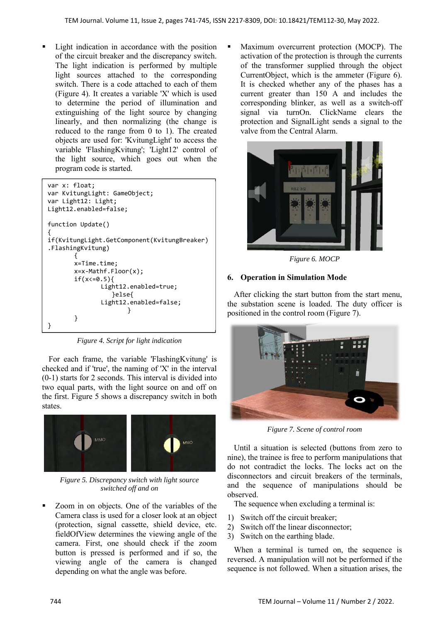Light indication in accordance with the position of the circuit breaker and the discrepancy switch. The light indication is performed by multiple light sources attached to the corresponding switch. There is a code attached to each of them (Figure 4). It creates a variable 'X' which is used to determine the period of illumination and extinguishing of the light source by changing linearly, and then normalizing (the change is reduced to the range from 0 to 1). The created objects are used for: 'KvitungLight' to access the variable 'FlashingKvitung'; 'Light12' control of the light source, which goes out when the program code is started.



*Figure 4. Script for light indication* 

For each frame, the variable 'FlashingKvitung' is checked and if 'true', the naming of 'X' in the interval (0-1) starts for 2 seconds. This interval is divided into two equal parts, with the light source on and off on the first. Figure 5 shows a discrepancy switch in both states.



*Figure 5. Discrepancy switch with light source switched off and on* 

 Zoom in on objects. One of the variables of the Camera class is used for a closer look at an object (protection, signal cassette, shield device, etc. fieldOfView determines the viewing angle of the camera. First, one should check if the zoom button is pressed is performed and if so, the viewing angle of the camera is changed depending on what the angle was before.

 Maximum overcurrent protection (MOCP). The activation of the protection is through the currents of the transformer supplied through the object CurrentObject, which is the ammeter (Figure 6). It is checked whether any of the phases has a current greater than 150 A and includes the corresponding blinker, as well as a switch-off signal via turnOn. ClickName clears the protection and SignalLight sends a signal to the valve from the Central Alarm.



*Figure 6. MOCP* 

#### **6. Operation in Simulation Mode**

After clicking the start button from the start menu, the substation scene is loaded. The duty officer is positioned in the control room (Figure 7).



*Figure 7. Scene of control room* 

Until a situation is selected (buttons from zero to nine), the trainee is free to perform manipulations that do not contradict the locks. The locks act on the disconnectors and circuit breakers of the terminals, and the sequence of manipulations should be observed.

The sequence when excluding a terminal is:

- 1) Switch off the circuit breaker;
- 2) Switch off the linear disconnector;
- 3) Switch on the earthing blade.

When a terminal is turned on, the sequence is reversed. A manipulation will not be performed if the sequence is not followed. When a situation arises, the